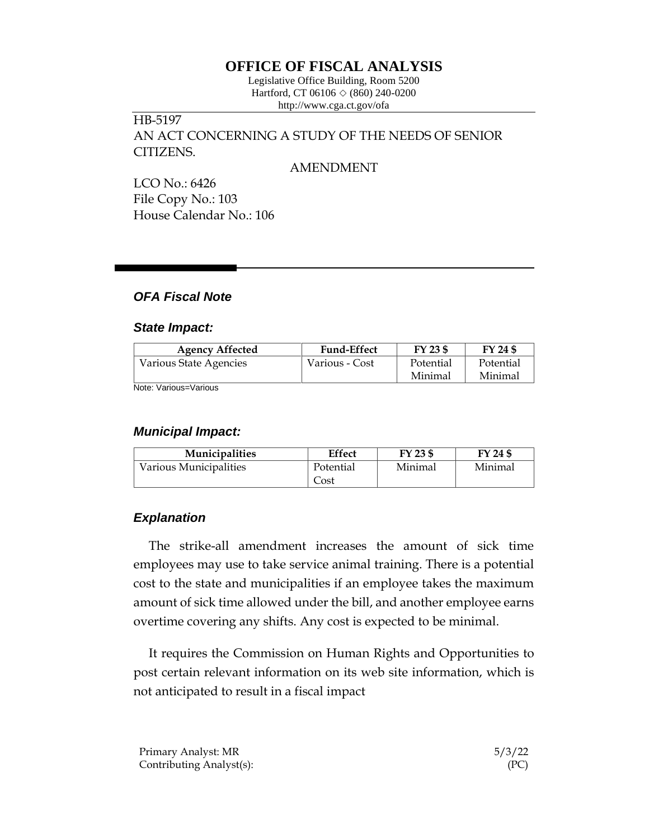# **OFFICE OF FISCAL ANALYSIS**

Legislative Office Building, Room 5200 Hartford, CT 06106  $\Diamond$  (860) 240-0200 http://www.cga.ct.gov/ofa

# HB-5197 AN ACT CONCERNING A STUDY OF THE NEEDS OF SENIOR CITIZENS.

#### AMENDMENT

LCO No.: 6426 File Copy No.: 103 House Calendar No.: 106

# *OFA Fiscal Note*

#### *State Impact:*

| <b>Agency Affected</b> | <b>Fund-Effect</b> | FY 23 \$  | FY 24 \$  |
|------------------------|--------------------|-----------|-----------|
| Various State Agencies | Various - Cost     | Potential | Potential |
|                        |                    | Minimal   | Minimal   |

Note: Various=Various

#### *Municipal Impact:*

| <b>Municipalities</b>  | <b>Effect</b> | FY 23 \$ | FY 24 \$ |
|------------------------|---------------|----------|----------|
| Various Municipalities | Potential     | Minimal  | Minimal  |
|                        | Cost          |          |          |

# *Explanation*

The strike-all amendment increases the amount of sick time employees may use to take service animal training. There is a potential cost to the state and municipalities if an employee takes the maximum amount of sick time allowed under the bill, and another employee earns overtime covering any shifts. Any cost is expected to be minimal.

It requires the Commission on Human Rights and Opportunities to post certain relevant information on its web site information, which is not anticipated to result in a fiscal impact